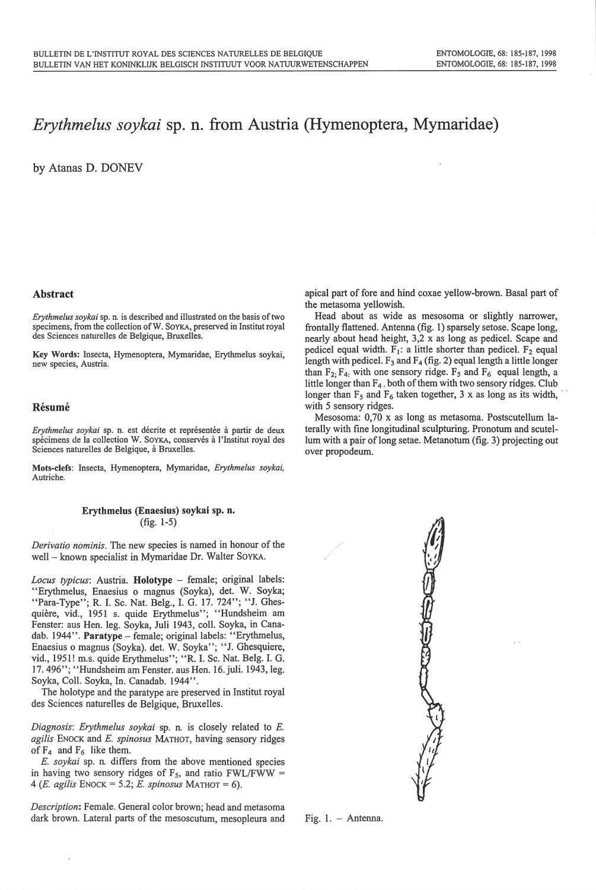# *Erythmelus soykai* sp. n. from Austria (Hymenoptera, Mymaridae)

by Atanas D. DONEY

### Abstract

*Erythmelus soykai* sp. n. is described and illustrated on the basis of two specimens, from the collection ofW. SoYKA, preserved in Institut royal des Sciences naturelles de Belgique, Bruxelles.

Key Words: Insecta, Hymenoptera, Mymaridae, Erythmelus soykai, new species, Austria.

### Résumé

*Erythmelus soykai* sp. n. est décrite et représentée à partir de deux spécimens de la collection W. SOYKA, conservés à l'Institut royal des Sciences naturelles de Belgique, a Bruxelles.

Mots-clefs: Insecta, Hymenoptera, Mymaridae, *Erythmelus soykai,*  Autriche.

#### Erythmelus (Enaesius) soykai sp. n. (fig. 1-5)

*Derivatio nominis.* The new species is named in honour of the well - known specialist in Mymaridae Dr. Walter SOYKA.

Locus typicus: Austria. Holotype - female; original labels: "Erythmelus, Enaesius o magnus (Soyka), det. W. Soyka; "Para-Type"; R. I. Sc. Nat. Belg., I. G. 17. 724"; "J. Ghesquière, vid., 1951 s. quide Erythmelus"; "Hundsheim am Fenster: aus Hen. leg. Soyka, Juli 1943, coli. Soyka, in Canadab. 1944". Paratype - female; original labels: "Erythmelus, Enaesius o magnus (Soyka). det. W. Soyka"; "J. Ghesquiere, vid., 1951! m.s. guide Erythmelus"; "R. I. Sc. Nat. Belg. I. G. 17. 496"; "Hundsheim am Fenster. aus Hen. 16.juli. 1943, leg. Soyka, Coll. Soyka, In. Canadab. 1944".

The holotype and the paratype are preserved in Institut royal des Sciences naturelles de Belgique, Bruxelles.

*Diagnosis: Erythmelus soykai* sp. n. is closely related to E. *agilis* ENOCK and E. *spinosus* MATHOT, having sensory ridges of  $F_4$  and  $F_6$  like them.

E. *soykai* sp. n. differs from the above mentioned species in having two sensory ridges of  $F_5$ , and ratio FWL/FWW = 4 *(E. agilis* ENOCK = 5.2; E. *spinosus* MATHOT = 6).

*Description:* Female. General color brown; head and metasoma dark brown. Lateral parts of the mesoscutum, mesopleura and apical part of fore and hind coxae yellow-brown. Basal part of the metasoma yellowish.

Head about as wide as mesosoma or slightly narrower, frontally flattened. Antenna (fig. 1) sparsely setose. Scape long, nearly about head height, 3,2 x as long as pedicel. Scape and pedicel equal width.  $F_1$ : a little shorter than pedicel.  $F_2$  equal length with pedicel.  $F_3$  and  $F_4$  (fig. 2) equal length a little longer than  $F_2$ ;  $F_4$ ; with one sensory ridge.  $F_5$  and  $F_6$  equal length, a little longer than  $F_4$ , both of them with two sensory ridges. Club longer than  $F_5$  and  $F_6$  taken together, 3 x as long as its width, with 5 sensory ridges.

Mesosoma: 0,70 x as long as metasoma. Postscutellum laterally with fine longitudinal sculpturing. Pronotum and scutellum with a pair of long setae. Metanotum (fig. 3) projecting out over propodeum.

Fig.  $1. -$  Antenna.



II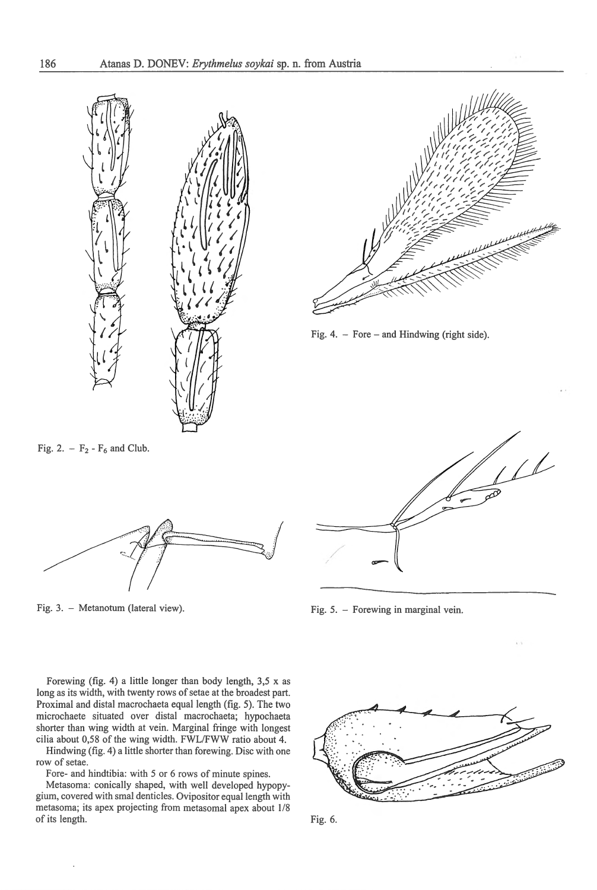



'

Fig. 4. - Fore - and Hindwing (right side).

Fig. 2.  $- F_2 - F_6$  and Club.



Fig. 3. - Metanotum (lateral view).

 $\mu$ /

Fig. 5. - Forewing in marginal vein.

Forewing (fig. 4) a little longer than body length, 3,5 x as long as its width, with twenty rows of setae at the broadest part. Proximal and distal macrochaeta equal length (fig. 5). The two microchaete situated over distal macrochaeta; hypochaeta shorter than wing width at vein. Marginal fringe with longest cilia about 0,58 of the wing width. FWL/FWW ratio about 4.

Hindwing (fig. 4) a little shorter than forewing. Disc with one row of setae.

Fore- and hindtibia: with 5 or 6 rows of minute spines.

Metasoma: conically shaped, with well developed hypopygium, covered with smal denticles. Ovipositor equal length with metasoma; its apex projecting from metasomal apex about 1/8 of its length.



"'